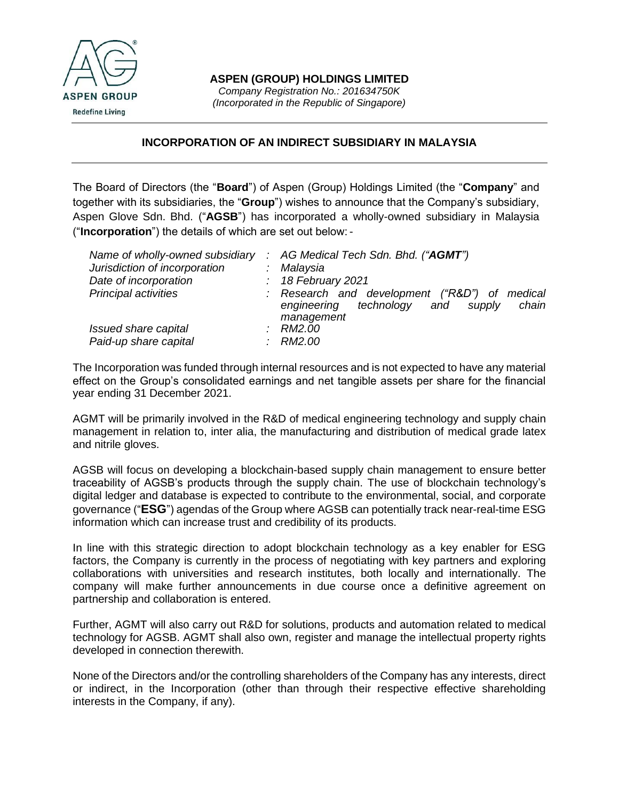

## **INCORPORATION OF AN INDIRECT SUBSIDIARY IN MALAYSIA**

The Board of Directors (the "**Board**") of Aspen (Group) Holdings Limited (the "**Company**" and together with its subsidiaries, the "**Group**") wishes to announce that the Company's subsidiary, Aspen Glove Sdn. Bhd. ("**AGSB**") has incorporated a wholly-owned subsidiary in Malaysia ("**Incorporation**") the details of which are set out below: -

| Name of wholly-owned subsidiary | $\therefore$ AG Medical Tech Sdn. Bhd. ("AGMT")                                                                       |
|---------------------------------|-----------------------------------------------------------------------------------------------------------------------|
| Jurisdiction of incorporation   | : Malaysia                                                                                                            |
| Date of incorporation           | $: 18$ February 2021                                                                                                  |
| <b>Principal activities</b>     | : Research and development ("R&D")<br>οf<br>medical<br>technology and<br>chain<br>engineering<br>supply<br>management |
| Issued share capital            | RM2.00                                                                                                                |
| Paid-up share capital           | RM2.00                                                                                                                |

The Incorporation was funded through internal resources and is not expected to have any material effect on the Group's consolidated earnings and net tangible assets per share for the financial year ending 31 December 2021.

AGMT will be primarily involved in the R&D of medical engineering technology and supply chain management in relation to, inter alia, the manufacturing and distribution of medical grade latex and nitrile gloves.

AGSB will focus on developing a blockchain-based supply chain management to ensure better traceability of AGSB's products through the supply chain. The use of blockchain technology's digital ledger and database is expected to contribute to the environmental, social, and corporate governance ("**ESG**") agendas of the Group where AGSB can potentially track near-real-time ESG information which can increase trust and credibility of its products.

In line with this strategic direction to adopt blockchain technology as a key enabler for ESG factors, the Company is currently in the process of negotiating with key partners and exploring collaborations with universities and research institutes, both locally and internationally. The company will make further announcements in due course once a definitive agreement on partnership and collaboration is entered.

Further, AGMT will also carry out R&D for solutions, products and automation related to medical technology for AGSB. AGMT shall also own, register and manage the intellectual property rights developed in connection therewith.

None of the Directors and/or the controlling shareholders of the Company has any interests, direct or indirect, in the Incorporation (other than through their respective effective shareholding interests in the Company, if any).